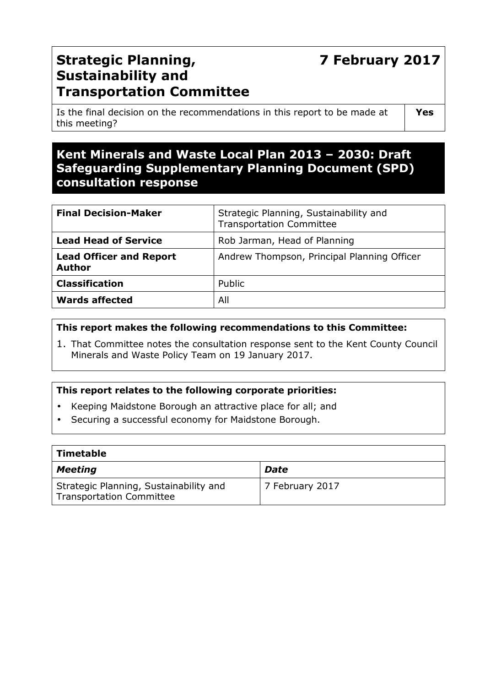# **7 February 2017**

# **Strategic Planning, Sustainability and Transportation Committee**

Is the final decision on the recommendations in this report to be made at this meeting?

**Yes** 

# **Kent Minerals and Waste Local Plan 2013 – 2030: Draft Safeguarding Supplementary Planning Document (SPD) consultation response**

| <b>Final Decision-Maker</b>                     | Strategic Planning, Sustainability and<br><b>Transportation Committee</b> |  |
|-------------------------------------------------|---------------------------------------------------------------------------|--|
| <b>Lead Head of Service</b>                     | Rob Jarman, Head of Planning                                              |  |
| <b>Lead Officer and Report</b><br><b>Author</b> | Andrew Thompson, Principal Planning Officer                               |  |
| <b>Classification</b>                           | Public                                                                    |  |
| <b>Wards affected</b>                           | All                                                                       |  |

#### **This report makes the following recommendations to this Committee:**

1. That Committee notes the consultation response sent to the Kent County Council Minerals and Waste Policy Team on 19 January 2017.

# **This report relates to the following corporate priorities:**

- Keeping Maidstone Borough an attractive place for all; and
- Securing a successful economy for Maidstone Borough.

| Timetable                                                                 |                 |
|---------------------------------------------------------------------------|-----------------|
| <b>Meeting</b>                                                            | <b>Date</b>     |
| Strategic Planning, Sustainability and<br><b>Transportation Committee</b> | 7 February 2017 |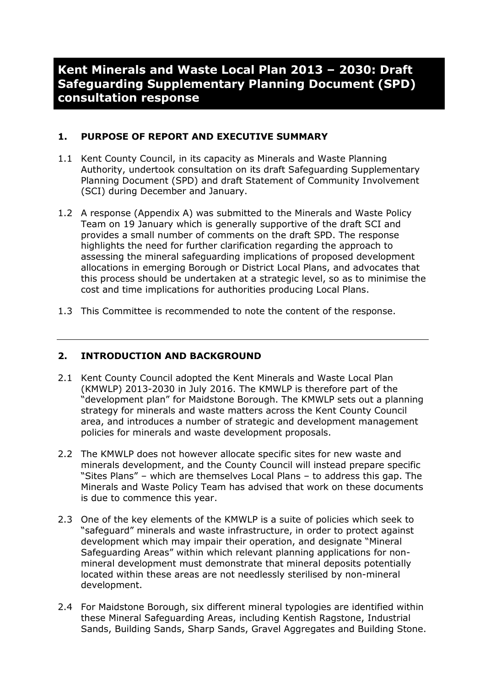# **Kent Minerals and Waste Local Plan 2013 – 2030: Draft Safeguarding Supplementary Planning Document (SPD) consultation response**

# **1. PURPOSE OF REPORT AND EXECUTIVE SUMMARY**

- 1.1 Kent County Council, in its capacity as Minerals and Waste Planning Authority, undertook consultation on its draft Safeguarding Supplementary Planning Document (SPD) and draft Statement of Community Involvement (SCI) during December and January.
- 1.2 A response (Appendix A) was submitted to the Minerals and Waste Policy Team on 19 January which is generally supportive of the draft SCI and provides a small number of comments on the draft SPD. The response highlights the need for further clarification regarding the approach to assessing the mineral safeguarding implications of proposed development allocations in emerging Borough or District Local Plans, and advocates that this process should be undertaken at a strategic level, so as to minimise the cost and time implications for authorities producing Local Plans.
- 1.3 This Committee is recommended to note the content of the response.

# **2. INTRODUCTION AND BACKGROUND**

- 2.1 Kent County Council adopted the Kent Minerals and Waste Local Plan (KMWLP) 2013-2030 in July 2016. The KMWLP is therefore part of the "development plan" for Maidstone Borough. The KMWLP sets out a planning strategy for minerals and waste matters across the Kent County Council area, and introduces a number of strategic and development management policies for minerals and waste development proposals.
- 2.2 The KMWLP does not however allocate specific sites for new waste and minerals development, and the County Council will instead prepare specific "Sites Plans" – which are themselves Local Plans – to address this gap. The Minerals and Waste Policy Team has advised that work on these documents is due to commence this year.
- 2.3 One of the key elements of the KMWLP is a suite of policies which seek to "safeguard" minerals and waste infrastructure, in order to protect against development which may impair their operation, and designate "Mineral Safeguarding Areas" within which relevant planning applications for nonmineral development must demonstrate that mineral deposits potentially located within these areas are not needlessly sterilised by non-mineral development.
- 2.4 For Maidstone Borough, six different mineral typologies are identified within these Mineral Safeguarding Areas, including Kentish Ragstone, Industrial Sands, Building Sands, Sharp Sands, Gravel Aggregates and Building Stone.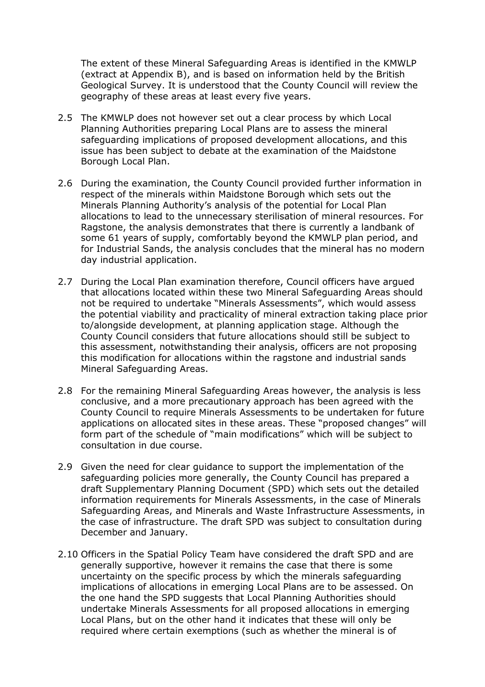The extent of these Mineral Safeguarding Areas is identified in the KMWLP (extract at Appendix B), and is based on information held by the British Geological Survey. It is understood that the County Council will review the geography of these areas at least every five years.

- 2.5 The KMWLP does not however set out a clear process by which Local Planning Authorities preparing Local Plans are to assess the mineral safeguarding implications of proposed development allocations, and this issue has been subject to debate at the examination of the Maidstone Borough Local Plan.
- 2.6 During the examination, the County Council provided further information in respect of the minerals within Maidstone Borough which sets out the Minerals Planning Authority's analysis of the potential for Local Plan allocations to lead to the unnecessary sterilisation of mineral resources. For Ragstone, the analysis demonstrates that there is currently a landbank of some 61 years of supply, comfortably beyond the KMWLP plan period, and for Industrial Sands, the analysis concludes that the mineral has no modern day industrial application.
- 2.7 During the Local Plan examination therefore, Council officers have argued that allocations located within these two Mineral Safeguarding Areas should not be required to undertake "Minerals Assessments", which would assess the potential viability and practicality of mineral extraction taking place prior to/alongside development, at planning application stage. Although the County Council considers that future allocations should still be subject to this assessment, notwithstanding their analysis, officers are not proposing this modification for allocations within the ragstone and industrial sands Mineral Safeguarding Areas.
- 2.8 For the remaining Mineral Safeguarding Areas however, the analysis is less conclusive, and a more precautionary approach has been agreed with the County Council to require Minerals Assessments to be undertaken for future applications on allocated sites in these areas. These "proposed changes" will form part of the schedule of "main modifications" which will be subject to consultation in due course.
- 2.9 Given the need for clear guidance to support the implementation of the safeguarding policies more generally, the County Council has prepared a draft Supplementary Planning Document (SPD) which sets out the detailed information requirements for Minerals Assessments, in the case of Minerals Safeguarding Areas, and Minerals and Waste Infrastructure Assessments, in the case of infrastructure. The draft SPD was subject to consultation during December and January.
- 2.10 Officers in the Spatial Policy Team have considered the draft SPD and are generally supportive, however it remains the case that there is some uncertainty on the specific process by which the minerals safeguarding implications of allocations in emerging Local Plans are to be assessed. On the one hand the SPD suggests that Local Planning Authorities should undertake Minerals Assessments for all proposed allocations in emerging Local Plans, but on the other hand it indicates that these will only be required where certain exemptions (such as whether the mineral is of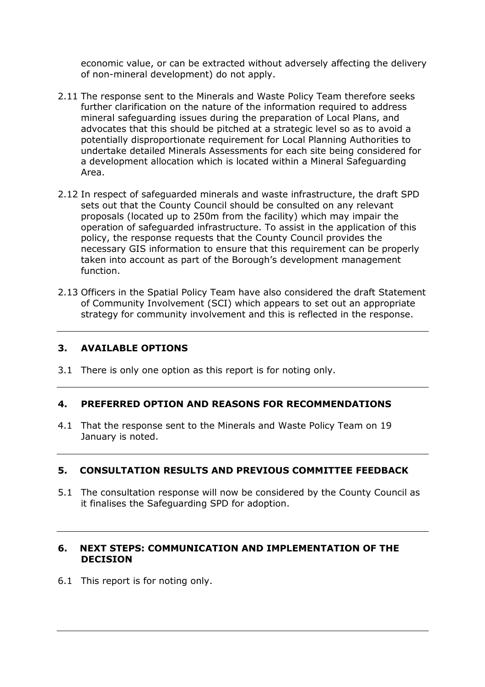economic value, or can be extracted without adversely affecting the delivery of non-mineral development) do not apply.

- 2.11 The response sent to the Minerals and Waste Policy Team therefore seeks further clarification on the nature of the information required to address mineral safeguarding issues during the preparation of Local Plans, and advocates that this should be pitched at a strategic level so as to avoid a potentially disproportionate requirement for Local Planning Authorities to undertake detailed Minerals Assessments for each site being considered for a development allocation which is located within a Mineral Safeguarding Area.
- 2.12 In respect of safeguarded minerals and waste infrastructure, the draft SPD sets out that the County Council should be consulted on any relevant proposals (located up to 250m from the facility) which may impair the operation of safeguarded infrastructure. To assist in the application of this policy, the response requests that the County Council provides the necessary GIS information to ensure that this requirement can be properly taken into account as part of the Borough's development management function.
- 2.13 Officers in the Spatial Policy Team have also considered the draft Statement of Community Involvement (SCI) which appears to set out an appropriate strategy for community involvement and this is reflected in the response.

#### **3. AVAILABLE OPTIONS**

3.1 There is only one option as this report is for noting only.

#### **4. PREFERRED OPTION AND REASONS FOR RECOMMENDATIONS**

4.1 That the response sent to the Minerals and Waste Policy Team on 19 January is noted.

#### **5. CONSULTATION RESULTS AND PREVIOUS COMMITTEE FEEDBACK**

5.1 The consultation response will now be considered by the County Council as it finalises the Safeguarding SPD for adoption.

#### **6. NEXT STEPS: COMMUNICATION AND IMPLEMENTATION OF THE DECISION**

6.1 This report is for noting only.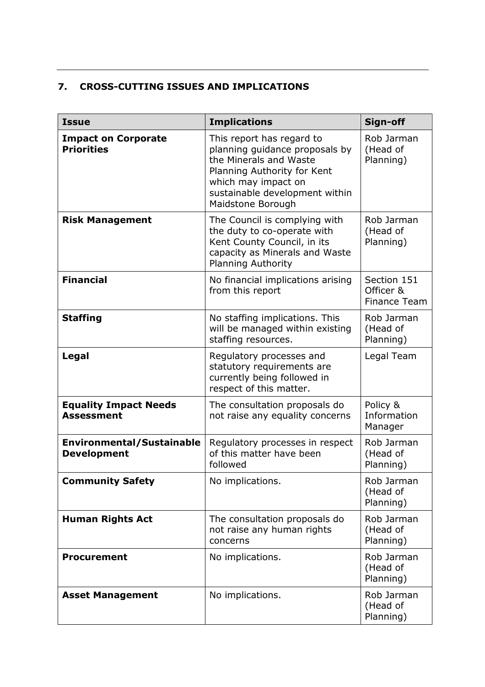# **7. CROSS-CUTTING ISSUES AND IMPLICATIONS**

| <b>Issue</b>                                           | <b>Implications</b>                                                                                                                                                                                | Sign-off                                        |
|--------------------------------------------------------|----------------------------------------------------------------------------------------------------------------------------------------------------------------------------------------------------|-------------------------------------------------|
| <b>Impact on Corporate</b><br><b>Priorities</b>        | This report has regard to<br>planning guidance proposals by<br>the Minerals and Waste<br>Planning Authority for Kent<br>which may impact on<br>sustainable development within<br>Maidstone Borough | Rob Jarman<br>(Head of<br>Planning)             |
| <b>Risk Management</b>                                 | The Council is complying with<br>the duty to co-operate with<br>Kent County Council, in its<br>capacity as Minerals and Waste<br><b>Planning Authority</b>                                         | Rob Jarman<br>(Head of<br>Planning)             |
| <b>Financial</b>                                       | No financial implications arising<br>from this report                                                                                                                                              | Section 151<br>Officer &<br><b>Finance Team</b> |
| <b>Staffing</b>                                        | No staffing implications. This<br>will be managed within existing<br>staffing resources.                                                                                                           | Rob Jarman<br>(Head of<br>Planning)             |
| Legal                                                  | Regulatory processes and<br>statutory requirements are<br>currently being followed in<br>respect of this matter.                                                                                   | Legal Team                                      |
| <b>Equality Impact Needs</b><br><b>Assessment</b>      | The consultation proposals do<br>not raise any equality concerns                                                                                                                                   | Policy &<br>Information<br>Manager              |
| <b>Environmental/Sustainable</b><br><b>Development</b> | Regulatory processes in respect<br>of this matter have been<br>followed                                                                                                                            | Rob Jarman<br>(Head of<br>Planning)             |
| <b>Community Safety</b>                                | No implications.                                                                                                                                                                                   | Rob Jarman<br>(Head of<br>Planning)             |
| <b>Human Rights Act</b>                                | The consultation proposals do<br>not raise any human rights<br>concerns                                                                                                                            | Rob Jarman<br>(Head of<br>Planning)             |
| <b>Procurement</b>                                     | No implications.                                                                                                                                                                                   | Rob Jarman<br>(Head of<br>Planning)             |
| <b>Asset Management</b>                                | No implications.                                                                                                                                                                                   | Rob Jarman<br>(Head of<br>Planning)             |